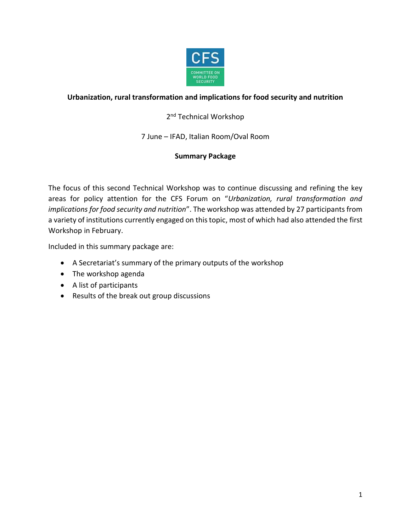

# **Urbanization, rural transformation and implications for food security and nutrition**

# 2<sup>nd</sup> Technical Workshop

7 June – IFAD, Italian Room/Oval Room

# **Summary Package**

The focus of this second Technical Workshop was to continue discussing and refining the key areas for policy attention for the CFS Forum on "*Urbanization, rural transformation and implications for food security and nutrition*". The workshop was attended by 27 participants from a variety of institutions currently engaged on this topic, most of which had also attended the first Workshop in February.

Included in this summary package are:

- A Secretariat's summary of the primary outputs of the workshop
- The workshop agenda
- A list of participants
- Results of the break out group discussions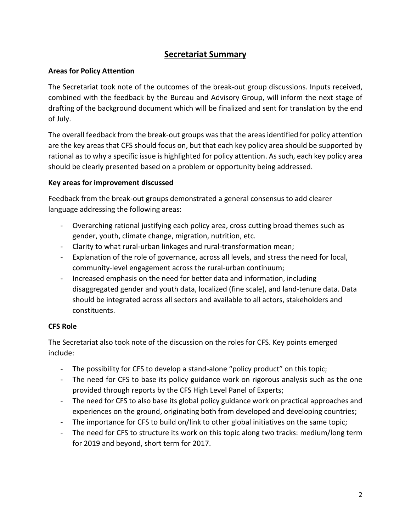# **Secretariat Summary**

# **Areas for Policy Attention**

The Secretariat took note of the outcomes of the break-out group discussions. Inputs received, combined with the feedback by the Bureau and Advisory Group, will inform the next stage of drafting of the background document which will be finalized and sent for translation by the end of July.

The overall feedback from the break-out groups was that the areas identified for policy attention are the key areas that CFS should focus on, but that each key policy area should be supported by rational as to why a specific issue is highlighted for policy attention. As such, each key policy area should be clearly presented based on a problem or opportunity being addressed.

# **Key areas for improvement discussed**

Feedback from the break-out groups demonstrated a general consensus to add clearer language addressing the following areas:

- Overarching rational justifying each policy area, cross cutting broad themes such as gender, youth, climate change, migration, nutrition, etc.
- Clarity to what rural-urban linkages and rural-transformation mean;
- Explanation of the role of governance, across all levels, and stress the need for local, community-level engagement across the rural-urban continuum;
- Increased emphasis on the need for better data and information, including disaggregated gender and youth data, localized (fine scale), and land-tenure data. Data should be integrated across all sectors and available to all actors, stakeholders and constituents.

# **CFS Role**

The Secretariat also took note of the discussion on the roles for CFS. Key points emerged include:

- The possibility for CFS to develop a stand-alone "policy product" on this topic;
- The need for CFS to base its policy guidance work on rigorous analysis such as the one provided through reports by the CFS High Level Panel of Experts;
- The need for CFS to also base its global policy guidance work on practical approaches and experiences on the ground, originating both from developed and developing countries;
- The importance for CFS to build on/link to other global initiatives on the same topic;
- The need for CFS to structure its work on this topic along two tracks: medium/long term for 2019 and beyond, short term for 2017.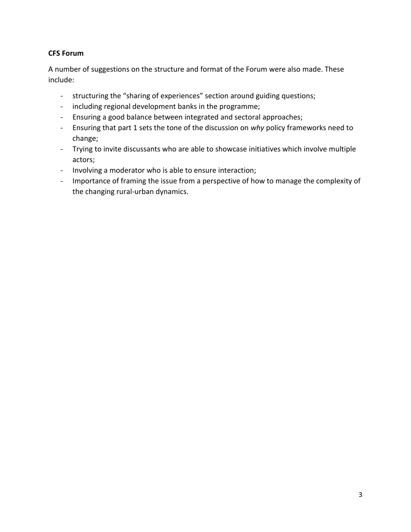# **CFS Forum**

A number of suggestions on the structure and format of the Forum were also made. These include:

- structuring the "sharing of experiences" section around guiding questions;
- including regional development banks in the programme;
- Ensuring a good balance between integrated and sectoral approaches;
- Ensuring that part 1 sets the tone of the discussion on *why* policy frameworks need to change;
- Trying to invite discussants who are able to showcase initiatives which involve multiple actors;
- Involving a moderator who is able to ensure interaction;
- Importance of framing the issue from a perspective of how to manage the complexity of the changing rural-urban dynamics.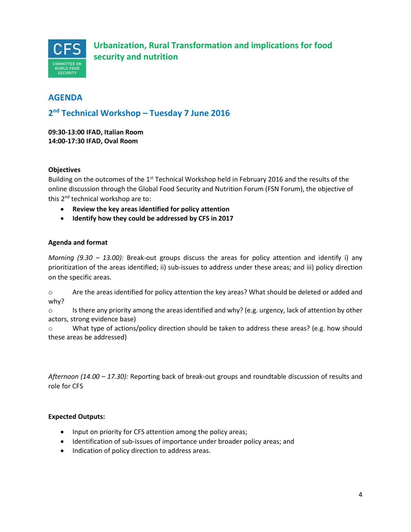

# **AGENDA**

# **2 nd Technical Workshop – Tuesday 7 June 2016**

**09:30-13:00 IFAD, Italian Room 14:00-17:30 IFAD, Oval Room**

## **Objectives**

Building on the outcomes of the 1<sup>st</sup> Technical Workshop held in February 2016 and the results of the online discussion through the Global Food Security and Nutrition Forum (FSN Forum), the objective of this 2<sup>nd</sup> technical workshop are to:

- **Review the key areas identified for policy attention**
- **Identify how they could be addressed by CFS in 2017**

## **Agenda and format**

*Morning (9.30 – 13.00):* Break-out groups discuss the areas for policy attention and identify i) any prioritization of the areas identified; ii) sub-issues to address under these areas; and iii) policy direction on the specific areas.

o Are the areas identified for policy attention the key areas? What should be deleted or added and why?

 $\circ$  Is there any priority among the areas identified and why? (e.g. urgency, lack of attention by other actors, strong evidence base)

o What type of actions/policy direction should be taken to address these areas? (e.g. how should these areas be addressed)

*Afternoon (14.00 – 17.30):* Reporting back of break-out groups and roundtable discussion of results and role for CFS

## **Expected Outputs:**

- Input on priority for CFS attention among the policy areas;
- Identification of sub-issues of importance under broader policy areas; and
- $\bullet$  Indication of policy direction to address areas.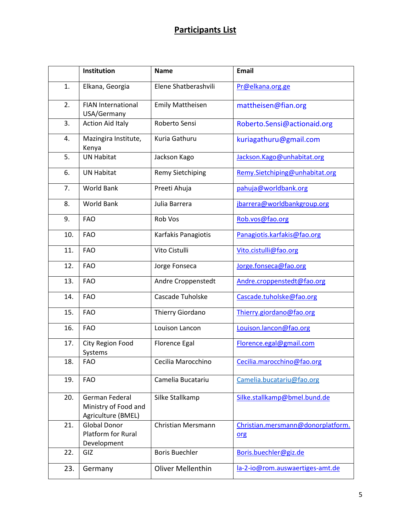# **Participants List**

|     | Institution                                                  | <b>Name</b>               | <b>Email</b>                             |
|-----|--------------------------------------------------------------|---------------------------|------------------------------------------|
| 1.  | Elkana, Georgia                                              | Elene Shatberashvili      | Pr@elkana.org.ge                         |
| 2.  | <b>FIAN International</b><br>USA/Germany                     | <b>Emily Mattheisen</b>   | mattheisen@fian.org                      |
| 3.  | <b>Action Aid Italy</b>                                      | Roberto Sensi             | Roberto.Sensi@actionaid.org              |
| 4.  | Mazingira Institute,<br>Kenya                                | Kuria Gathuru             | kuriagathuru@gmail.com                   |
| 5.  | <b>UN Habitat</b>                                            | Jackson Kago              | Jackson.Kago@unhabitat.org               |
| 6.  | <b>UN Habitat</b>                                            | <b>Remy Sietchiping</b>   | Remy.Sietchiping@unhabitat.org           |
| 7.  | <b>World Bank</b>                                            | Preeti Ahuja              | pahuja@worldbank.org                     |
| 8.  | <b>World Bank</b>                                            | Julia Barrera             | jbarrera@worldbankgroup.org              |
| 9.  | <b>FAO</b>                                                   | Rob Vos                   | Rob.vos@fao.org                          |
| 10. | <b>FAO</b>                                                   | Karfakis Panagiotis       | Panagiotis.karfakis@fao.org              |
| 11. | <b>FAO</b>                                                   | Vito Cistulli             | Vito.cistulli@fao.org                    |
| 12. | <b>FAO</b>                                                   | Jorge Fonseca             | Jorge.fonseca@fao.org                    |
| 13. | <b>FAO</b>                                                   | Andre Croppenstedt        | Andre.croppenstedt@fao.org               |
| 14. | <b>FAO</b>                                                   | Cascade Tuholske          | Cascade.tuholske@fao.org                 |
| 15. | <b>FAO</b>                                                   | Thierry Giordano          | Thierry.giordano@fao.org                 |
| 16. | <b>FAO</b>                                                   | Louison Lancon            | Louison.lancon@fao.org                   |
| 17. | City Region Food<br>Systems                                  | <b>Florence Egal</b>      | Florence.egal@gmail.com                  |
| 18. | <b>FAO</b>                                                   | Cecilia Marocchino        | Cecilia.marocchino@fao.org               |
| 19. | <b>FAO</b>                                                   | Camelia Bucatariu         | Camelia.bucatariu@fao.org                |
| 20. | German Federal<br>Ministry of Food and<br>Agriculture (BMEL) | Silke Stallkamp           | Silke.stallkamp@bmel.bund.de             |
| 21. | <b>Global Donor</b><br>Platform for Rural<br>Development     | <b>Christian Mersmann</b> | Christian.mersmann@donorplatform.<br>org |
| 22. | GIZ                                                          | <b>Boris Buechler</b>     | Boris.buechler@giz.de                    |
| 23. | Germany                                                      | <b>Oliver Mellenthin</b>  | la-2-io@rom.auswaertiges-amt.de          |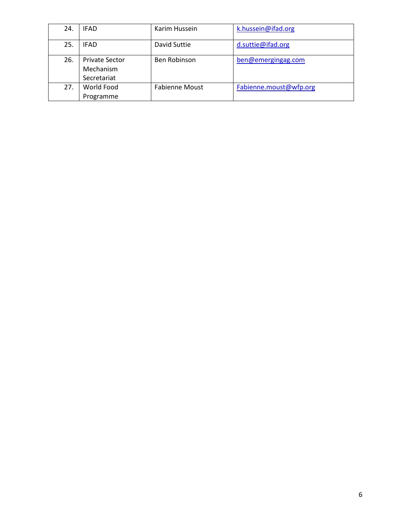| 24. | <b>IFAD</b>                                       | Karim Hussein         | k.hussein@ifad.org     |
|-----|---------------------------------------------------|-----------------------|------------------------|
| 25. | IFAD                                              | David Suttie          | d.suttie@ifad.org      |
| 26. | <b>Private Sector</b><br>Mechanism<br>Secretariat | Ben Robinson          | ben@emergingag.com     |
| 27. | World Food<br>Programme                           | <b>Fabienne Moust</b> | Fabienne.moust@wfp.org |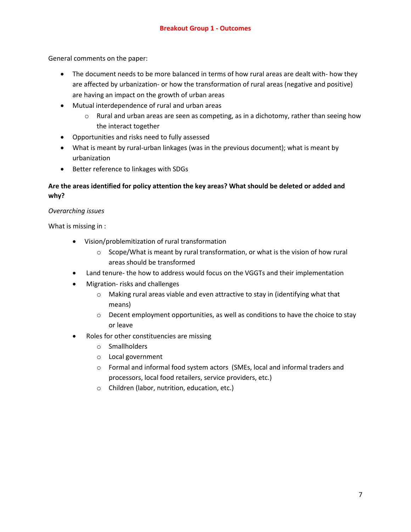General comments on the paper:

- The document needs to be more balanced in terms of how rural areas are dealt with- how they are affected by urbanization- or how the transformation of rural areas (negative and positive) are having an impact on the growth of urban areas
- Mutual interdependence of rural and urban areas
	- $\circ$  Rural and urban areas are seen as competing, as in a dichotomy, rather than seeing how the interact together
- Opportunities and risks need to fully assessed
- What is meant by rural-urban linkages (was in the previous document); what is meant by urbanization
- Better reference to linkages with SDGs

# **Are the areas identified for policy attention the key areas? What should be deleted or added and why?**

## *Overarching issues*

What is missing in :

- Vision/problemitization of rural transformation
	- $\circ$  Scope/What is meant by rural transformation, or what is the vision of how rural areas should be transformed
- Land tenure- the how to address would focus on the VGGTs and their implementation
- Migration- risks and challenges
	- o Making rural areas viable and even attractive to stay in (identifying what that means)
	- $\circ$  Decent employment opportunities, as well as conditions to have the choice to stay or leave
- Roles for other constituencies are missing
	- o Smallholders
	- o Local government
	- o Formal and informal food system actors (SMEs, local and informal traders and processors, local food retailers, service providers, etc.)
	- o Children (labor, nutrition, education, etc.)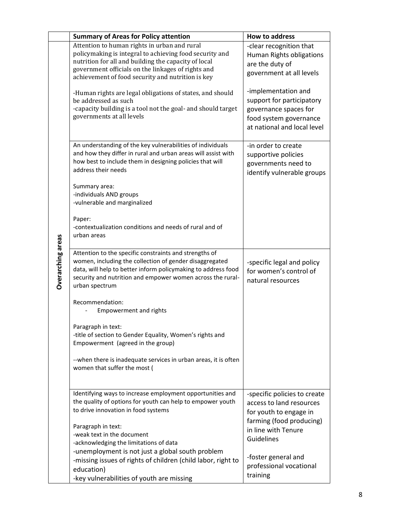|                   | <b>Summary of Areas for Policy attention</b>                                                                                                                                                                                                                                                                                                                                                                                                                 | <b>How to address</b>                                                                                                                                                                                                                    |
|-------------------|--------------------------------------------------------------------------------------------------------------------------------------------------------------------------------------------------------------------------------------------------------------------------------------------------------------------------------------------------------------------------------------------------------------------------------------------------------------|------------------------------------------------------------------------------------------------------------------------------------------------------------------------------------------------------------------------------------------|
|                   | Attention to human rights in urban and rural<br>policymaking is integral to achieving food security and<br>nutrition for all and building the capacity of local<br>government officials on the linkages of rights and<br>achievement of food security and nutrition is key<br>-Human rights are legal obligations of states, and should<br>be addressed as such<br>-capacity building is a tool not the goal- and should target<br>governments at all levels | -clear recognition that<br>Human Rights obligations<br>are the duty of<br>government at all levels<br>-implementation and<br>support for participatory<br>governance spaces for<br>food system governance<br>at national and local level |
|                   | An understanding of the key vulnerabilities of individuals<br>and how they differ in rural and urban areas will assist with<br>how best to include them in designing policies that will<br>address their needs                                                                                                                                                                                                                                               | -in order to create<br>supportive policies<br>governments need to<br>identify vulnerable groups                                                                                                                                          |
|                   | Summary area:<br>-individuals AND groups<br>-vulnerable and marginalized                                                                                                                                                                                                                                                                                                                                                                                     |                                                                                                                                                                                                                                          |
|                   | Paper:<br>-contextualization conditions and needs of rural and of<br>urban areas                                                                                                                                                                                                                                                                                                                                                                             |                                                                                                                                                                                                                                          |
| Overarching areas | Attention to the specific constraints and strengths of<br>women, including the collection of gender disaggregated<br>data, will help to better inform policymaking to address food<br>security and nutrition and empower women across the rural-<br>urban spectrum                                                                                                                                                                                           | -specific legal and policy<br>for women's control of<br>natural resources                                                                                                                                                                |
|                   | Recommendation:<br><b>Empowerment and rights</b>                                                                                                                                                                                                                                                                                                                                                                                                             |                                                                                                                                                                                                                                          |
|                   | Paragraph in text:<br>-title of section to Gender Equality, Women's rights and<br>Empowerment (agreed in the group)                                                                                                                                                                                                                                                                                                                                          |                                                                                                                                                                                                                                          |
|                   | --when there is inadequate services in urban areas, it is often<br>women that suffer the most (                                                                                                                                                                                                                                                                                                                                                              |                                                                                                                                                                                                                                          |
|                   | Identifying ways to increase employment opportunities and<br>the quality of options for youth can help to empower youth<br>to drive innovation in food systems<br>Paragraph in text:<br>-weak text in the document<br>-acknowledging the limitations of data                                                                                                                                                                                                 | -specific policies to create<br>access to land resources<br>for youth to engage in<br>farming (food producing)<br>in line with Tenure<br>Guidelines                                                                                      |
|                   | -unemployment is not just a global south problem<br>-missing issues of rights of children (child labor, right to<br>education)<br>-key vulnerabilities of youth are missing                                                                                                                                                                                                                                                                                  | -foster general and<br>professional vocational<br>training                                                                                                                                                                               |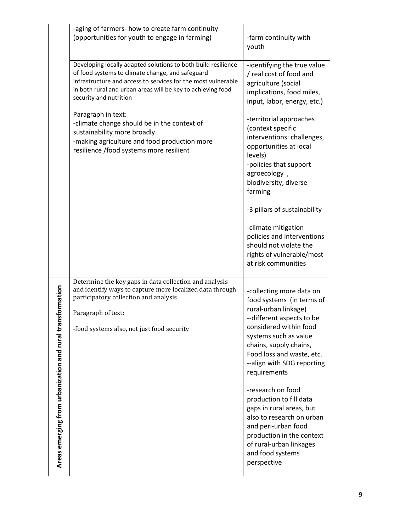|                                                           | -aging of farmers- how to create farm continuity<br>(opportunities for youth to engage in farming)                                                                                                                                                                          | -farm continuity with<br>youth                                                                                                                                                                                                                                                                                                                                                                                                                                                                |
|-----------------------------------------------------------|-----------------------------------------------------------------------------------------------------------------------------------------------------------------------------------------------------------------------------------------------------------------------------|-----------------------------------------------------------------------------------------------------------------------------------------------------------------------------------------------------------------------------------------------------------------------------------------------------------------------------------------------------------------------------------------------------------------------------------------------------------------------------------------------|
|                                                           | Developing locally adapted solutions to both build resilience<br>of food systems to climate change, and safeguard<br>infrastructure and access to services for the most vulnerable<br>in both rural and urban areas will be key to achieving food<br>security and nutrition | -identifying the true value<br>/ real cost of food and<br>agriculture (social<br>implications, food miles,<br>input, labor, energy, etc.)                                                                                                                                                                                                                                                                                                                                                     |
|                                                           | Paragraph in text:<br>-climate change should be in the context of<br>sustainability more broadly<br>-making agriculture and food production more<br>resilience /food systems more resilient                                                                                 | -territorial approaches<br>(context specific<br>interventions: challenges,<br>opportunities at local<br>levels)<br>-policies that support<br>agroecology,<br>biodiversity, diverse<br>farming<br>-3 pillars of sustainability<br>-climate mitigation<br>policies and interventions<br>should not violate the                                                                                                                                                                                  |
|                                                           |                                                                                                                                                                                                                                                                             | rights of vulnerable/most-<br>at risk communities                                                                                                                                                                                                                                                                                                                                                                                                                                             |
| Areas emerging from urbanization and rural transformation | Determine the key gaps in data collection and analysis<br>and identify ways to capture more localized data through<br>participatory collection and analysis<br>Paragraph of text:<br>-food systems also, not just food security                                             | -collecting more data on<br>food systems (in terms of<br>rural-urban linkage)<br>--different aspects to be<br>considered within food<br>systems such as value<br>chains, supply chains,<br>Food loss and waste, etc.<br>--align with SDG reporting<br>requirements<br>-research on food<br>production to fill data<br>gaps in rural areas, but<br>also to research on urban<br>and peri-urban food<br>production in the context<br>of rural-urban linkages<br>and food systems<br>perspective |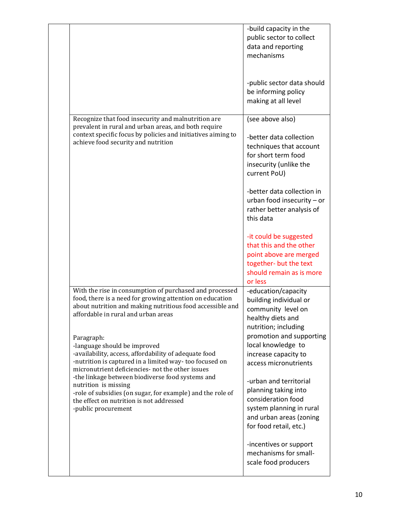|                                                                                                                                                                                                                                                                                                                                                                                                                                | -build capacity in the<br>public sector to collect<br>data and reporting<br>mechanisms                                                                                                                                                                   |
|--------------------------------------------------------------------------------------------------------------------------------------------------------------------------------------------------------------------------------------------------------------------------------------------------------------------------------------------------------------------------------------------------------------------------------|----------------------------------------------------------------------------------------------------------------------------------------------------------------------------------------------------------------------------------------------------------|
|                                                                                                                                                                                                                                                                                                                                                                                                                                | -public sector data should<br>be informing policy<br>making at all level                                                                                                                                                                                 |
| Recognize that food insecurity and malnutrition are<br>prevalent in rural and urban areas, and both require<br>context specific focus by policies and initiatives aiming to<br>achieve food security and nutrition                                                                                                                                                                                                             | (see above also)<br>-better data collection<br>techniques that account<br>for short term food<br>insecurity (unlike the<br>current PoU)<br>-better data collection in<br>urban food insecurity $-$ or<br>rather better analysis of<br>this data          |
|                                                                                                                                                                                                                                                                                                                                                                                                                                | -it could be suggested<br>that this and the other<br>point above are merged<br>together- but the text<br>should remain as is more<br>or less                                                                                                             |
| With the rise in consumption of purchased and processed<br>food, there is a need for growing attention on education<br>about nutrition and making nutritious food accessible and<br>affordable in rural and urban areas                                                                                                                                                                                                        | -education/capacity<br>building individual or<br>community level on<br>healthy diets and<br>nutrition; including                                                                                                                                         |
| Paragraph:<br>-language should be improved<br>-availability, access, affordability of adequate food<br>-nutrition is captured in a limited way-too focused on<br>micronutrient deficiencies- not the other issues<br>-the linkage between biodiverse food systems and<br>nutrition is missing<br>-role of subsidies (on sugar, for example) and the role of<br>the effect on nutrition is not addressed<br>-public procurement | promotion and supporting<br>local knowledge to<br>increase capacity to<br>access micronutrients<br>-urban and territorial<br>planning taking into<br>consideration food<br>system planning in rural<br>and urban areas (zoning<br>for food retail, etc.) |
|                                                                                                                                                                                                                                                                                                                                                                                                                                | -incentives or support<br>mechanisms for small-<br>scale food producers                                                                                                                                                                                  |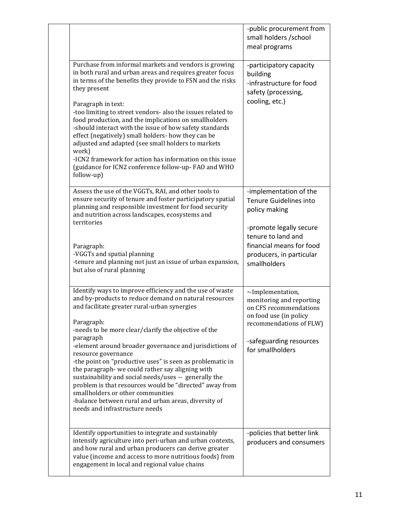|                                                                                                                                                                                                                                                                                                                                                                                                                                                                                                                                                                                                                                                                                                            | -public procurement from<br>small holders /school<br>meal programs                                                                                                                         |
|------------------------------------------------------------------------------------------------------------------------------------------------------------------------------------------------------------------------------------------------------------------------------------------------------------------------------------------------------------------------------------------------------------------------------------------------------------------------------------------------------------------------------------------------------------------------------------------------------------------------------------------------------------------------------------------------------------|--------------------------------------------------------------------------------------------------------------------------------------------------------------------------------------------|
| Purchase from informal markets and vendors is growing<br>in both rural and urban areas and requires greater focus<br>in terms of the benefits they provide to FSN and the risks<br>they present<br>Paragraph in text:<br>-too limiting to street vendors- also the issues related to<br>food production, and the implications on smallholders<br>-should interact with the issue of how safety standards<br>effect (negatively) small holders- how they can be<br>adjusted and adapted (see small holders to markets<br>work)<br>-ICN2 framework for action has information on this issue<br>(guidance for ICN2 conference follow-up-FAO and WHO<br>follow-up)                                             | -participatory capacity<br>building<br>-infrastructure for food<br>safety (processing,<br>cooling, etc.)                                                                                   |
| Assess the use of the VGGTs, RAI, and other tools to<br>ensure security of tenure and foster participatory spatial<br>planning and responsible investment for food security<br>and nutrition across landscapes, ecosystems and<br>territories<br>Paragraph:<br>-VGGTs and spatial planning<br>-tenure and planning not just an issue of urban expansion,<br>but also of rural planning                                                                                                                                                                                                                                                                                                                     | -implementation of the<br>Tenure Guidelines into<br>policy making<br>-promote legally secure<br>tenure to land and<br>financial means for food<br>producers, in particular<br>smallholders |
| Identify ways to improve efficiency and the use of waste<br>and by-products to reduce demand on natural resources<br>and facilitate greater rural-urban synergies<br>Paragraph:<br>-needs to be more clear/clarify the objective of the<br>paragraph<br>-element around broader governance and jurisdictions of<br>resource governance<br>-the point on "productive uses" is seen as problematic in<br>the paragraph- we could rather say aligning with<br>sustainability and social needs/uses -- generally the<br>problem is that resources would be "directed" away from<br>smallholders or other communities<br>-balance between rural and urban areas, diversity of<br>needs and infrastructure needs | --Implementation,<br>monitoring and reporting<br>on CFS recommendations<br>on food use (in policy<br>recommendations of FLW)<br>-safeguarding resources<br>for smallholders                |
| Identify opportunities to integrate and sustainably<br>intensify agriculture into peri-urban and urban contexts,<br>and how rural and urban producers can derive greater<br>value (income and access to more nutritious foods) from<br>engagement in local and regional value chains                                                                                                                                                                                                                                                                                                                                                                                                                       | -policies that better link<br>producers and consumers                                                                                                                                      |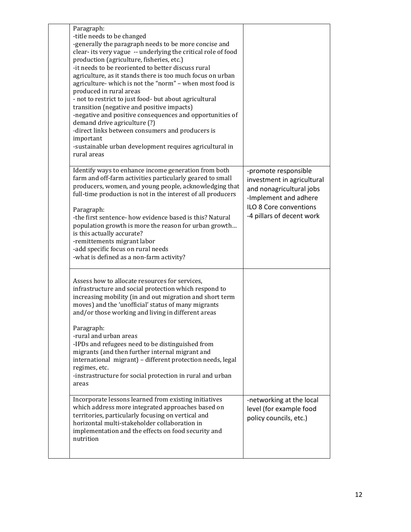| Paragraph:<br>-title needs to be changed<br>-generally the paragraph needs to be more concise and<br>clear- its very vague -- underlying the critical role of food<br>production (agriculture, fisheries, etc.)<br>-it needs to be reoriented to better discuss rural<br>agriculture, as it stands there is too much focus on urban<br>agriculture-which is not the "norm" - when most food is<br>produced in rural areas<br>- not to restrict to just food- but about agricultural<br>transition (negative and positive impacts)<br>-negative and positive consequences and opportunities of<br>demand drive agriculture (?)<br>-direct links between consumers and producers is<br>important<br>-sustainable urban development requires agricultural in<br>rural areas                                                                                                      |                                                                                                                                                                       |
|-------------------------------------------------------------------------------------------------------------------------------------------------------------------------------------------------------------------------------------------------------------------------------------------------------------------------------------------------------------------------------------------------------------------------------------------------------------------------------------------------------------------------------------------------------------------------------------------------------------------------------------------------------------------------------------------------------------------------------------------------------------------------------------------------------------------------------------------------------------------------------|-----------------------------------------------------------------------------------------------------------------------------------------------------------------------|
| Identify ways to enhance income generation from both<br>farm and off-farm activities particularly geared to small<br>producers, women, and young people, acknowledging that<br>full-time production is not in the interest of all producers<br>Paragraph:<br>-the first sentence- how evidence based is this? Natural<br>population growth is more the reason for urban growth<br>is this actually accurate?<br>-remittements migrant labor<br>-add specific focus on rural needs<br>-what is defined as a non-farm activity?                                                                                                                                                                                                                                                                                                                                                 | -promote responsible<br>investment in agricultural<br>and nonagricultural jobs<br>-Implement and adhere<br><b>ILO 8 Core conventions</b><br>-4 pillars of decent work |
| Assess how to allocate resources for services,<br>infrastructure and social protection which respond to<br>increasing mobility (in and out migration and short term<br>moves) and the 'unofficial' status of many migrants<br>and/or those working and living in different areas<br>Paragraph:<br>-rural and urban areas<br>-IPDs and refugees need to be distinguished from<br>migrants (and then further internal migrant and<br>international migrant) - different protection needs, legal<br>regimes, etc.<br>-instrastructure for social protection in rural and urban<br>areas<br>Incorporate lessons learned from existing initiatives<br>which address more integrated approaches based on<br>territories, particularly focusing on vertical and<br>horizontal multi-stakeholder collaboration in<br>implementation and the effects on food security and<br>nutrition | -networking at the local<br>level (for example food<br>policy councils, etc.)                                                                                         |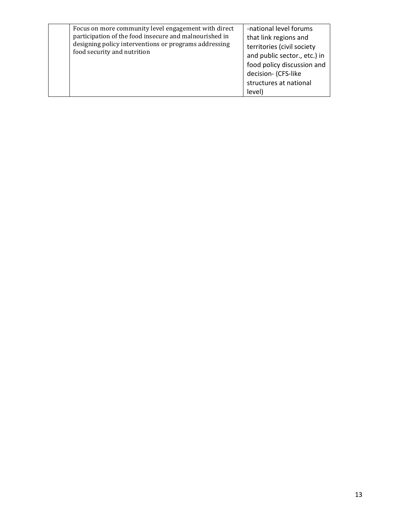| Focus on more community level engagement with direct<br>participation of the food insecure and malnourished in<br>designing policy interventions or programs addressing<br>food security and nutrition | -national level forums<br>that link regions and<br>territories (civil society<br>and public sector., etc.) in<br>food policy discussion and<br>decision- (CFS-like<br>structures at national<br>level) |
|--------------------------------------------------------------------------------------------------------------------------------------------------------------------------------------------------------|--------------------------------------------------------------------------------------------------------------------------------------------------------------------------------------------------------|
|--------------------------------------------------------------------------------------------------------------------------------------------------------------------------------------------------------|--------------------------------------------------------------------------------------------------------------------------------------------------------------------------------------------------------|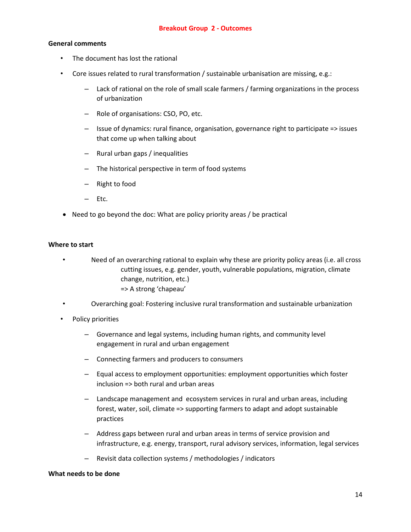## **General comments**

- The document has lost the rational
- Core issues related to rural transformation / sustainable urbanisation are missing, e.g.:
	- Lack of rational on the role of small scale farmers / farming organizations in the process of urbanization
	- Role of organisations: CSO, PO, etc.
	- Issue of dynamics: rural finance, organisation, governance right to participate => issues that come up when talking about
	- Rural urban gaps / inequalities
	- The historical perspective in term of food systems
	- Right to food
	- Etc.
- Need to go beyond the doc: What are policy priority areas / be practical

## **Where to start**

- Need of an overarching rational to explain why these are priority policy areas (i.e. all cross cutting issues, e.g. gender, youth, vulnerable populations, migration, climate change, nutrition, etc.) => A strong 'chapeau'
- Overarching goal: Fostering inclusive rural transformation and sustainable urbanization
- Policy priorities
	- Governance and legal systems, including human rights, and community level engagement in rural and urban engagement
	- Connecting farmers and producers to consumers
	- Equal access to employment opportunities: employment opportunities which foster inclusion => both rural and urban areas
	- Landscape management and ecosystem services in rural and urban areas, including forest, water, soil, climate => supporting farmers to adapt and adopt sustainable practices
	- Address gaps between rural and urban areas in terms of service provision and infrastructure, e.g. energy, transport, rural advisory services, information, legal services
	- Revisit data collection systems / methodologies / indicators

#### **What needs to be done**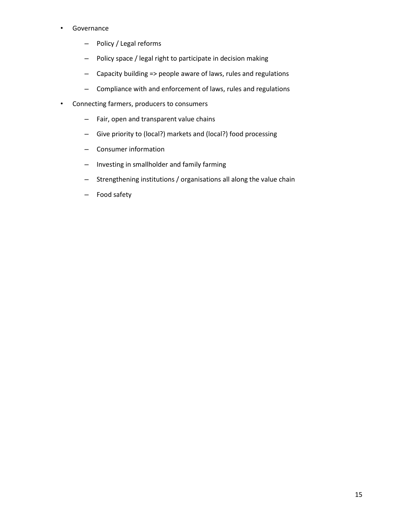## • Governance

- Policy / Legal reforms
- Policy space / legal right to participate in decision making
- Capacity building => people aware of laws, rules and regulations
- Compliance with and enforcement of laws, rules and regulations
- Connecting farmers, producers to consumers
	- Fair, open and transparent value chains
	- Give priority to (local?) markets and (local?) food processing
	- Consumer information
	- Investing in smallholder and family farming
	- Strengthening institutions / organisations all along the value chain
	- Food safety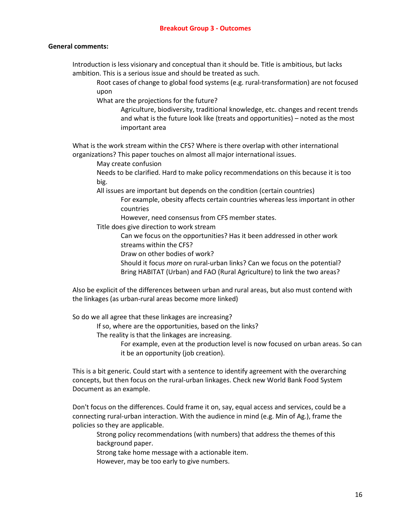## **General comments:**

Introduction is less visionary and conceptual than it should be. Title is ambitious, but lacks ambition. This is a serious issue and should be treated as such.

Root cases of change to global food systems (e.g. rural-transformation) are not focused upon

What are the projections for the future?

Agriculture, biodiversity, traditional knowledge, etc. changes and recent trends and what is the future look like (treats and opportunities) – noted as the most important area

What is the work stream within the CFS? Where is there overlap with other international organizations? This paper touches on almost all major international issues.

May create confusion

Needs to be clarified. Hard to make policy recommendations on this because it is too big.

All issues are important but depends on the condition (certain countries)

For example, obesity affects certain countries whereas less important in other countries

However, need consensus from CFS member states.

Title does give direction to work stream

Can we focus on the opportunities? Has it been addressed in other work streams within the CFS?

Draw on other bodies of work?

Should it focus *more* on rural-urban links? Can we focus on the potential? Bring HABITAT (Urban) and FAO (Rural Agriculture) to link the two areas?

Also be explicit of the differences between urban and rural areas, but also must contend with the linkages (as urban-rural areas become more linked)

So do we all agree that these linkages are increasing?

If so, where are the opportunities, based on the links?

The reality is that the linkages are increasing.

For example, even at the production level is now focused on urban areas. So can it be an opportunity (job creation).

This is a bit generic. Could start with a sentence to identify agreement with the overarching concepts, but then focus on the rural-urban linkages. Check new World Bank Food System Document as an example.

Don't focus on the differences. Could frame it on, say, equal access and services, could be a connecting rural-urban interaction. With the audience in mind (e.g. Min of Ag.), frame the policies so they are applicable.

Strong policy recommendations (with numbers) that address the themes of this background paper.

Strong take home message with a actionable item.

However, may be too early to give numbers.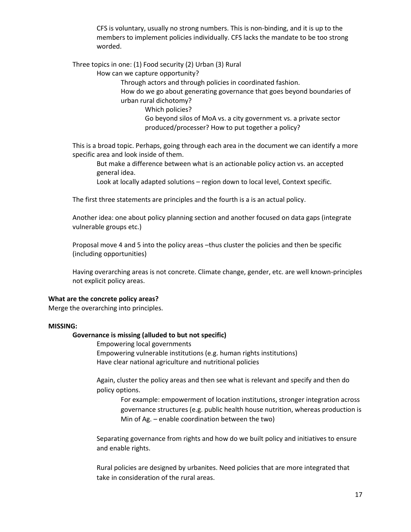CFS is voluntary, usually no strong numbers. This is non-binding, and it is up to the members to implement policies individually. CFS lacks the mandate to be too strong worded.

Three topics in one: (1) Food security (2) Urban (3) Rural

How can we capture opportunity?

Through actors and through policies in coordinated fashion.

How do we go about generating governance that goes beyond boundaries of urban rural dichotomy?

Which policies?

Go beyond silos of MoA vs. a city government vs. a private sector produced/processer? How to put together a policy?

This is a broad topic. Perhaps, going through each area in the document we can identify a more specific area and look inside of them.

But make a difference between what is an actionable policy action vs. an accepted general idea.

Look at locally adapted solutions – region down to local level, Context specific.

The first three statements are principles and the fourth is a is an actual policy.

Another idea: one about policy planning section and another focused on data gaps (integrate vulnerable groups etc.)

Proposal move 4 and 5 into the policy areas –thus cluster the policies and then be specific (including opportunities)

Having overarching areas is not concrete. Climate change, gender, etc. are well known-principles not explicit policy areas.

### **What are the concrete policy areas?**

Merge the overarching into principles.

### **MISSING:**

### **Governance is missing (alluded to but not specific)**

Empowering local governments Empowering vulnerable institutions (e.g. human rights institutions) Have clear national agriculture and nutritional policies

Again, cluster the policy areas and then see what is relevant and specify and then do policy options.

For example: empowerment of location institutions, stronger integration across governance structures (e.g. public health house nutrition, whereas production is Min of Ag. – enable coordination between the two)

Separating governance from rights and how do we built policy and initiatives to ensure and enable rights.

Rural policies are designed by urbanites. Need policies that are more integrated that take in consideration of the rural areas.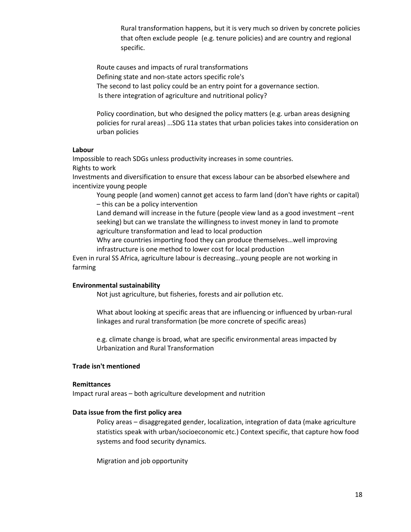Rural transformation happens, but it is very much so driven by concrete policies that often exclude people (e.g. tenure policies) and are country and regional specific.

Route causes and impacts of rural transformations Defining state and non-state actors specific role's The second to last policy could be an entry point for a governance section. Is there integration of agriculture and nutritional policy?

Policy coordination, but who designed the policy matters (e.g. urban areas designing policies for rural areas) …SDG 11a states that urban policies takes into consideration on urban policies

#### **Labour**

Impossible to reach SDGs unless productivity increases in some countries. Rights to work

Investments and diversification to ensure that excess labour can be absorbed elsewhere and incentivize young people

Young people (and women) cannot get access to farm land (don't have rights or capital) – this can be a policy intervention

Land demand will increase in the future (people view land as a good investment –rent seeking) but can we translate the willingness to invest money in land to promote agriculture transformation and lead to local production

Why are countries importing food they can produce themselves…well improving infrastructure is one method to lower cost for local production

Even in rural SS Africa, agriculture labour is decreasing…young people are not working in farming

#### **Environmental sustainability**

Not just agriculture, but fisheries, forests and air pollution etc.

What about looking at specific areas that are influencing or influenced by urban-rural linkages and rural transformation (be more concrete of specific areas)

e.g. climate change is broad, what are specific environmental areas impacted by Urbanization and Rural Transformation

### **Trade isn't mentioned**

#### **Remittances**

Impact rural areas – both agriculture development and nutrition

#### **Data issue from the first policy area**

Policy areas – disaggregated gender, localization, integration of data (make agriculture statistics speak with urban/socioeconomic etc.) Context specific, that capture how food systems and food security dynamics.

Migration and job opportunity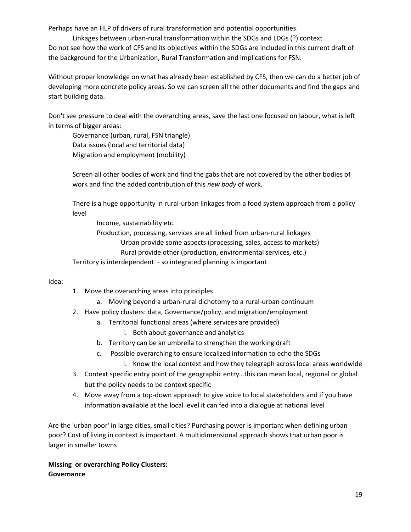Perhaps have an HLP of drivers of rural transformation and potential opportunities.

Linkages between urban-rural transformation within the SDGs and LDGs (?) context Do not see how the work of CFS and its objectives within the SDGs are included in this current draft of the background for the Urbanization, Rural Transformation and implications for FSN.

Without proper knowledge on what has already been established by CFS, then we can do a better job of developing more concrete policy areas. So we can screen all the other documents and find the gaps and start building data.

Don't see pressure to deal with the overarching areas, save the last one focused on labour, what is left in terms of bigger areas:

Governance (urban, rural, FSN triangle) Data issues (local and territorial data) Migration and employment (mobility)

Screen all other bodies of work and find the gabs that are not covered by the other bodies of work and find the added contribution of this *new body* of work.

There is a huge opportunity in rural-urban linkages from a food system approach from a policy level

Income, sustainability etc.

Production, processing, services are all linked from urban-rural linkages Urban provide some aspects (processing, sales, access to markets) Rural provide other (production, environmental services, etc.)

Territory is interdependent - so integrated planning is important

Idea:

- 1. Move the overarching areas into principles
	- a. Moving beyond a urban-rural dichotomy to a rural-urban continuum
- 2. Have policy clusters: data, Governance/policy, and migration/employment
	- a. Territorial functional areas (where services are provided)
		- i. Both about governance and analytics
	- b. Territory can be an umbrella to strengthen the working draft
	- c. Possible overarching to ensure localized information to echo the SDGs
		- i. Know the local context and how they telegraph across local areas worldwide
- 3. Context specific entry point of the geographic entry…this can mean local, regional or global but the policy needs to be context specific
- 4. Move away from a top-down approach to give voice to local stakeholders and if you have information available at the local level it can fed into a dialogue at national level

Are the 'urban poor' in large cities, small cities? Purchasing power is important when defining urban poor? Cost of living in context is important. A multidimensional approach shows that urban poor is larger in smaller towns

**Missing or overarching Policy Clusters: Governance**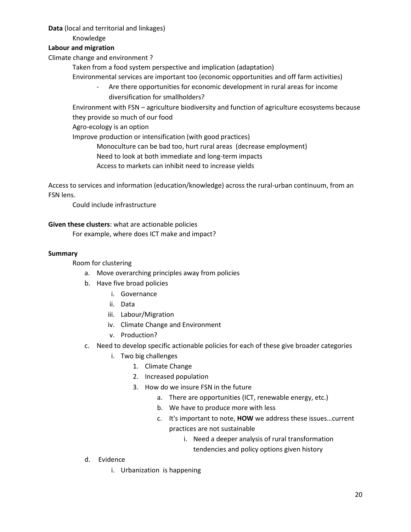**Data** (local and territorial and linkages)

Knowledge

## **Labour and migration**

Climate change and environment ?

Taken from a food system perspective and implication (adaptation)

- Environmental services are important too (economic opportunities and off farm activities)
	- Are there opportunities for economic development in rural areas for income diversification for smallholders?

Environment with FSN – agriculture biodiversity and function of agriculture ecosystems because they provide so much of our food

Agro-ecology is an option

Improve production or intensification (with good practices)

Monoculture can be bad too, hurt rural areas (decrease employment)

Need to look at both immediate and long-term impacts

Access to markets can inhibit need to increase yields

Access to services and information (education/knowledge) across the rural-urban continuum, from an FSN lens.

Could include infrastructure

## **Given these clusters**: what are actionable policies

For example, where does ICT make and impact?

## **Summary**

# Room for clustering

- a. Move overarching principles away from policies
- b. Have five broad policies
	- i. Governance
	- ii. Data
	- iii. Labour/Migration
	- iv. Climate Change and Environment
	- v. Production?
- c. Need to develop specific actionable policies for each of these give broader categories
	- i. Two big challenges
		- 1. Climate Change
		- 2. Increased population
		- 3. How do we insure FSN in the future
			- a. There are opportunities (ICT, renewable energy, etc.)
			- b. We have to produce more with less
			- c. It's important to note, **HOW** we address these issues…current practices are not sustainable
				- i. Need a deeper analysis of rural transformation tendencies and policy options given history

- d. Evidence
	- i. Urbanization is happening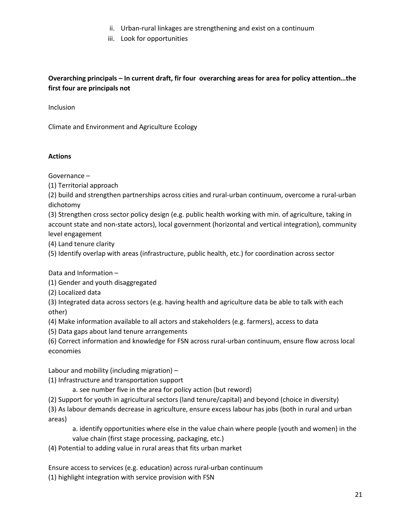- ii. Urban-rural linkages are strengthening and exist on a continuum
- iii. Look for opportunities

# **Overarching principals – In current draft, fir four overarching areas for area for policy attention…the first four are principals not**

Inclusion

Climate and Environment and Agriculture Ecology

## **Actions**

Governance –

(1) Territorial approach

(2) build and strengthen partnerships across cities and rural-urban continuum, overcome a rural-urban dichotomy

(3) Strengthen cross sector policy design (e.g. public health working with min. of agriculture, taking in account state and non-state actors), local government (horizontal and vertical integration), community level engagement

(4) Land tenure clarity

(5) Identify overlap with areas (infrastructure, public health, etc.) for coordination across sector

Data and Information –

(1) Gender and youth disaggregated

(2) Localized data

(3) Integrated data across sectors (e.g. having health and agriculture data be able to talk with each other)

(4) Make information available to all actors and stakeholders (e.g. farmers), access to data

(5) Data gaps about land tenure arrangements

(6) Correct information and knowledge for FSN across rural-urban continuum, ensure flow across local economies

Labour and mobility (including migration) –

(1) Infrastructure and transportation support

a. see number five in the area for policy action (but reword)

(2) Support for youth in agricultural sectors (land tenure/capital) and beyond (choice in diversity)

(3) As labour demands decrease in agriculture, ensure excess labour has jobs (both in rural and urban areas)

a. identify opportunities where else in the value chain where people (youth and women) in the value chain (first stage processing, packaging, etc.)

(4) Potential to adding value in rural areas that fits urban market

Ensure access to services (e.g. education) across rural-urban continuum (1) highlight integration with service provision with FSN